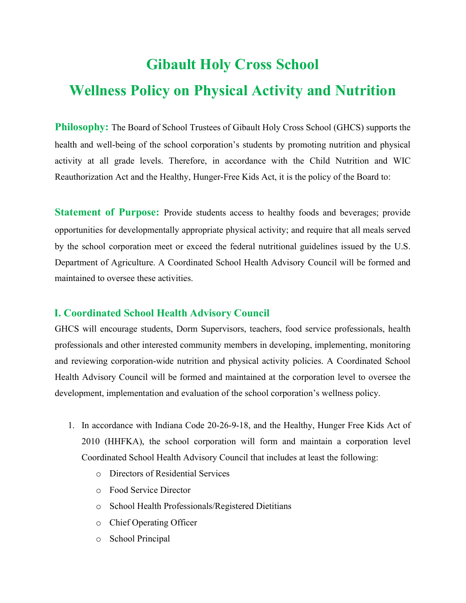# Gibault Holy Cross School Wellness Policy on Physical Activity and Nutrition

**Philosophy:** The Board of School Trustees of Gibault Holy Cross School (GHCS) supports the health and well-being of the school corporation's students by promoting nutrition and physical activity at all grade levels. Therefore, in accordance with the Child Nutrition and WIC Reauthorization Act and the Healthy, Hunger-Free Kids Act, it is the policy of the Board to:

**Statement of Purpose:** Provide students access to healthy foods and beverages; provide opportunities for developmentally appropriate physical activity; and require that all meals served by the school corporation meet or exceed the federal nutritional guidelines issued by the U.S. Department of Agriculture. A Coordinated School Health Advisory Council will be formed and maintained to oversee these activities.

# I. Coordinated School Health Advisory Council

GHCS will encourage students, Dorm Supervisors, teachers, food service professionals, health professionals and other interested community members in developing, implementing, monitoring and reviewing corporation-wide nutrition and physical activity policies. A Coordinated School Health Advisory Council will be formed and maintained at the corporation level to oversee the development, implementation and evaluation of the school corporation's wellness policy.

- 1. In accordance with Indiana Code 20-26-9-18, and the Healthy, Hunger Free Kids Act of 2010 (HHFKA), the school corporation will form and maintain a corporation level Coordinated School Health Advisory Council that includes at least the following:
	- o Directors of Residential Services
	- o Food Service Director
	- o School Health Professionals/Registered Dietitians
	- o Chief Operating Officer
	- o School Principal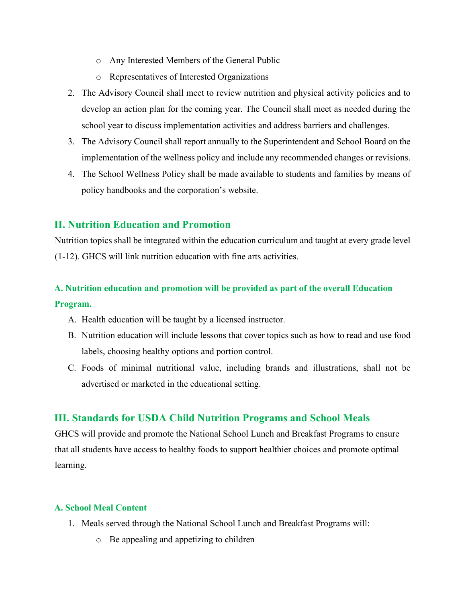- o Any Interested Members of the General Public
- o Representatives of Interested Organizations
- 2. The Advisory Council shall meet to review nutrition and physical activity policies and to develop an action plan for the coming year. The Council shall meet as needed during the school year to discuss implementation activities and address barriers and challenges.
- 3. The Advisory Council shall report annually to the Superintendent and School Board on the implementation of the wellness policy and include any recommended changes or revisions.
- 4. The School Wellness Policy shall be made available to students and families by means of policy handbooks and the corporation's website.

# II. Nutrition Education and Promotion

Nutrition topics shall be integrated within the education curriculum and taught at every grade level (1-12). GHCS will link nutrition education with fine arts activities.

# A. Nutrition education and promotion will be provided as part of the overall Education Program.

- A. Health education will be taught by a licensed instructor.
- B. Nutrition education will include lessons that cover topics such as how to read and use food labels, choosing healthy options and portion control.
- C. Foods of minimal nutritional value, including brands and illustrations, shall not be advertised or marketed in the educational setting.

# III. Standards for USDA Child Nutrition Programs and School Meals

GHCS will provide and promote the National School Lunch and Breakfast Programs to ensure that all students have access to healthy foods to support healthier choices and promote optimal learning.

#### A. School Meal Content

- 1. Meals served through the National School Lunch and Breakfast Programs will:
	- o Be appealing and appetizing to children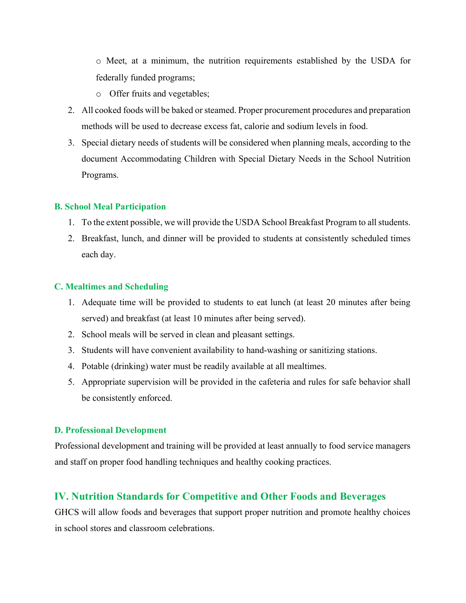o Meet, at a minimum, the nutrition requirements established by the USDA for federally funded programs;

- o Offer fruits and vegetables;
- 2. All cooked foods will be baked or steamed. Proper procurement procedures and preparation methods will be used to decrease excess fat, calorie and sodium levels in food.
- 3. Special dietary needs of students will be considered when planning meals, according to the document Accommodating Children with Special Dietary Needs in the School Nutrition Programs.

#### B. School Meal Participation

- 1. To the extent possible, we will provide the USDA School Breakfast Program to all students.
- 2. Breakfast, lunch, and dinner will be provided to students at consistently scheduled times each day.

#### C. Mealtimes and Scheduling

- 1. Adequate time will be provided to students to eat lunch (at least 20 minutes after being served) and breakfast (at least 10 minutes after being served).
- 2. School meals will be served in clean and pleasant settings.
- 3. Students will have convenient availability to hand-washing or sanitizing stations.
- 4. Potable (drinking) water must be readily available at all mealtimes.
- 5. Appropriate supervision will be provided in the cafeteria and rules for safe behavior shall be consistently enforced.

#### D. Professional Development

Professional development and training will be provided at least annually to food service managers and staff on proper food handling techniques and healthy cooking practices.

# IV. Nutrition Standards for Competitive and Other Foods and Beverages

GHCS will allow foods and beverages that support proper nutrition and promote healthy choices in school stores and classroom celebrations.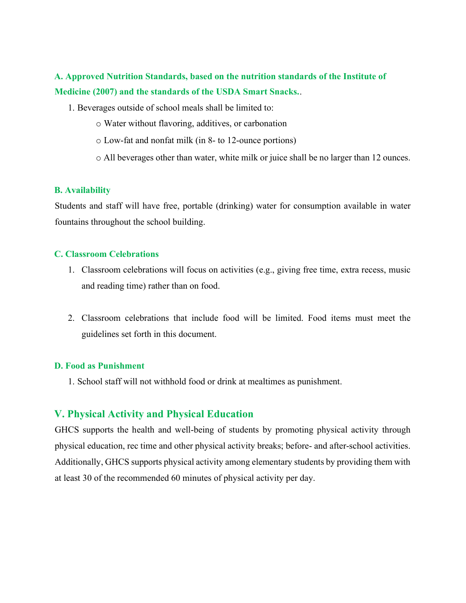# A. Approved Nutrition Standards, based on the nutrition standards of the Institute of Medicine (2007) and the standards of the USDA Smart Snacks..

- 1. Beverages outside of school meals shall be limited to:
	- o Water without flavoring, additives, or carbonation
	- o Low-fat and nonfat milk (in 8- to 12-ounce portions)
	- o All beverages other than water, white milk or juice shall be no larger than 12 ounces.

#### B. Availability

Students and staff will have free, portable (drinking) water for consumption available in water fountains throughout the school building.

#### C. Classroom Celebrations

- 1. Classroom celebrations will focus on activities (e.g., giving free time, extra recess, music and reading time) rather than on food.
- 2. Classroom celebrations that include food will be limited. Food items must meet the guidelines set forth in this document.

#### D. Food as Punishment

1. School staff will not withhold food or drink at mealtimes as punishment.

# V. Physical Activity and Physical Education

GHCS supports the health and well-being of students by promoting physical activity through physical education, rec time and other physical activity breaks; before- and after-school activities. Additionally, GHCS supports physical activity among elementary students by providing them with at least 30 of the recommended 60 minutes of physical activity per day.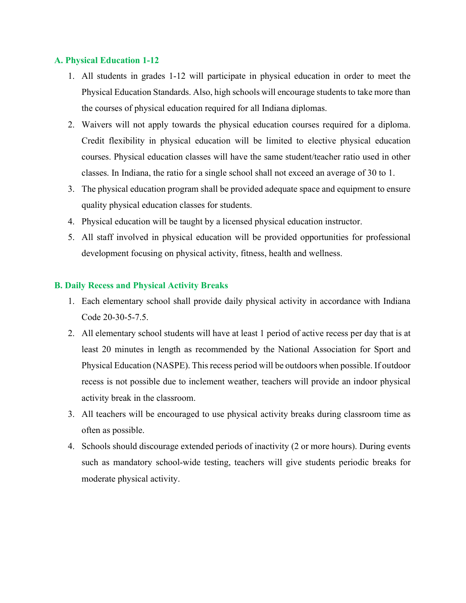#### A. Physical Education 1-12

- 1. All students in grades 1-12 will participate in physical education in order to meet the Physical Education Standards. Also, high schools will encourage students to take more than the courses of physical education required for all Indiana diplomas.
- 2. Waivers will not apply towards the physical education courses required for a diploma. Credit flexibility in physical education will be limited to elective physical education courses. Physical education classes will have the same student/teacher ratio used in other classes. In Indiana, the ratio for a single school shall not exceed an average of 30 to 1.
- 3. The physical education program shall be provided adequate space and equipment to ensure quality physical education classes for students.
- 4. Physical education will be taught by a licensed physical education instructor.
- 5. All staff involved in physical education will be provided opportunities for professional development focusing on physical activity, fitness, health and wellness.

# B. Daily Recess and Physical Activity Breaks

- 1. Each elementary school shall provide daily physical activity in accordance with Indiana Code 20-30-5-7.5.
- 2. All elementary school students will have at least 1 period of active recess per day that is at least 20 minutes in length as recommended by the National Association for Sport and Physical Education (NASPE). This recess period will be outdoors when possible. If outdoor recess is not possible due to inclement weather, teachers will provide an indoor physical activity break in the classroom.
- 3. All teachers will be encouraged to use physical activity breaks during classroom time as often as possible.
- 4. Schools should discourage extended periods of inactivity (2 or more hours). During events such as mandatory school-wide testing, teachers will give students periodic breaks for moderate physical activity.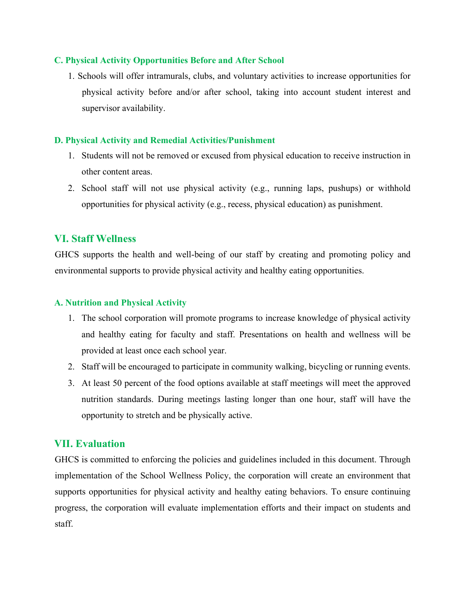#### C. Physical Activity Opportunities Before and After School

1. Schools will offer intramurals, clubs, and voluntary activities to increase opportunities for physical activity before and/or after school, taking into account student interest and supervisor availability.

### D. Physical Activity and Remedial Activities/Punishment

- 1. Students will not be removed or excused from physical education to receive instruction in other content areas.
- 2. School staff will not use physical activity (e.g., running laps, pushups) or withhold opportunities for physical activity (e.g., recess, physical education) as punishment.

# VI. Staff Wellness

GHCS supports the health and well-being of our staff by creating and promoting policy and environmental supports to provide physical activity and healthy eating opportunities.

#### A. Nutrition and Physical Activity

- 1. The school corporation will promote programs to increase knowledge of physical activity and healthy eating for faculty and staff. Presentations on health and wellness will be provided at least once each school year.
- 2. Staff will be encouraged to participate in community walking, bicycling or running events.
- 3. At least 50 percent of the food options available at staff meetings will meet the approved nutrition standards. During meetings lasting longer than one hour, staff will have the opportunity to stretch and be physically active.

# VII. Evaluation

GHCS is committed to enforcing the policies and guidelines included in this document. Through implementation of the School Wellness Policy, the corporation will create an environment that supports opportunities for physical activity and healthy eating behaviors. To ensure continuing progress, the corporation will evaluate implementation efforts and their impact on students and staff.